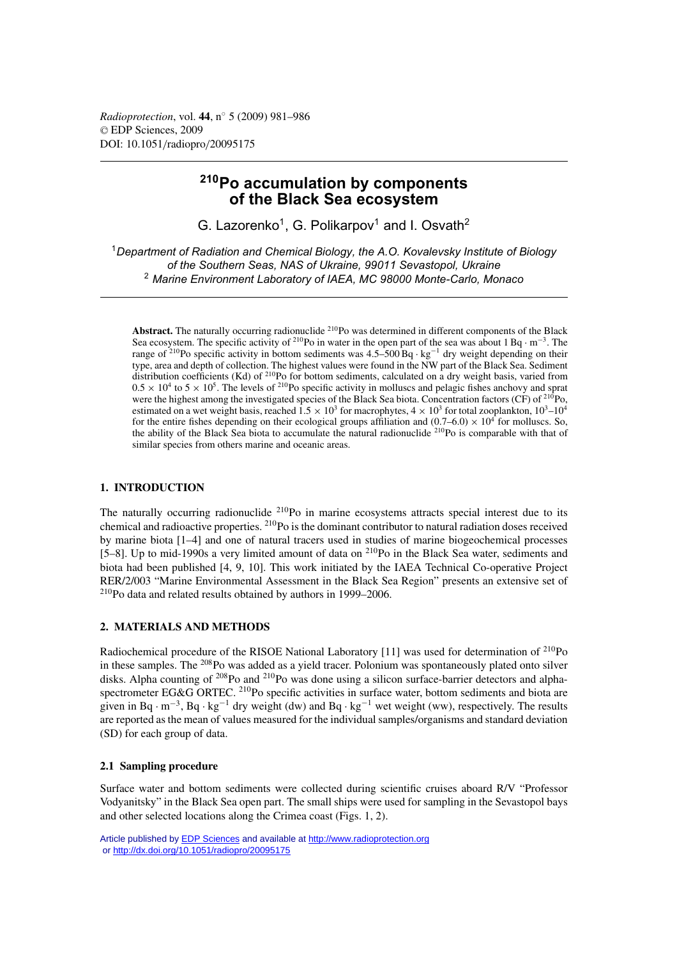*Radioprotection*, vol. **44**, n◦ 5 (2009) 981–986 © EDP Sciences, 2009 DOI: 10.1051/radiopro/20095175

# **210Po accumulation by components of the Black Sea ecosystem**

G. Lazorenko<sup>1</sup>, G. Polikarpov<sup>1</sup> and I. Osvath<sup>2</sup>

<sup>1</sup>*Department of Radiation and Chemical Biology, the A.O. Kovalevsky Institute of Biology of the Southern Seas, NAS of Ukraine, 99011 Sevastopol, Ukraine* <sup>2</sup> *Marine Environment Laboratory of IAEA, MC 98000 Monte-Carlo, Monaco*

**Abstract.** The naturally occurring radionuclide 210Po was determined in different components of the Black Sea ecosystem. The specific activity of <sup>210</sup>Po in water in the open part of the sea was about 1 Bq · m<sup>-3</sup>. The range of 210Po specific activity in bottom sediments was 4.5–500 Bq · kg−<sup>1</sup> dry weight depending on their type, area and depth of collection. The highest values were found in the NW part of the Black Sea. Sediment distribution coefficients (Kd) of  $2^{10}$ Po for bottom sediments, calculated on a dry weight basis, varied from  $0.5 \times 10^4$  to  $5 \times 10^5$ . The levels of <sup>210</sup>Po specific activity in molluscs and pelagic fishes anchovy and sprat were the highest among the investigated species of the Black Sea biota. Concentration factors (CF) of <sup>210</sup>Po, estimated on a wet weight basis, reached  $1.5 \times 10^3$  for macrophytes,  $4 \times 10^3$  for total zooplankton,  $10^3$ – $10^4$ for the entire fishes depending on their ecological groups affiliation and  $(0.7-6.0) \times 10^4$  for molluscs. So, the ability of the Black Sea biota to accumulate the natural radionuclide  $^{210}$ Po is comparable with that of similar species from others marine and oceanic areas.

# **1. INTRODUCTION**

The naturally occurring radionuclide <sup>210</sup>Po in marine ecosystems attracts special interest due to its chemical and radioactive properties. 210Po is the dominant contributor to natural radiation doses received by marine biota [1–4] and one of natural tracers used in studies of marine biogeochemical processes [5–8]. Up to mid-1990s a very limited amount of data on 210Po in the Black Sea water, sediments and biota had been published [4, 9, 10]. This work initiated by the IAEA Technical Co-operative Project RER/2/003 "Marine Environmental Assessment in the Black Sea Region" presents an extensive set of 210Po data and related results obtained by authors in 1999–2006.

### **2. MATERIALS AND METHODS**

Radiochemical procedure of the RISOE National Laboratory [11] was used for determination of  $^{210}Po$ in these samples. The 208Po was added as a yield tracer. Polonium was spontaneously plated onto silver disks. Alpha counting of <sup>208</sup>Po and <sup>210</sup>Po was done using a silicon surface-barrier detectors and alphaspectrometer EG&G ORTEC. <sup>210</sup>Po specific activities in surface water, bottom sediments and biota are given in Bq · m<sup>-3</sup>, Bq · kg<sup>-1</sup> dry weight (dw) and Bq · kg<sup>-1</sup> wet weight (ww), respectively. The results are reported as the mean of values measured for the individual samples/organisms and standard deviation (SD) for each group of data.

### **2.1 Sampling procedure**

Surface water and bottom sediments were collected during scientific cruises aboard R/V "Professor Vodyanitsky" in the Black Sea open part. The small ships were used for sampling in the Sevastopol bays and other selected locations along the Crimea coast (Figs. 1, 2).

Article published by [EDP Sciences](http://www.edpsciences.org) and available at<http://www.radioprotection.org> or <http://dx.doi.org/10.1051/radiopro/20095175>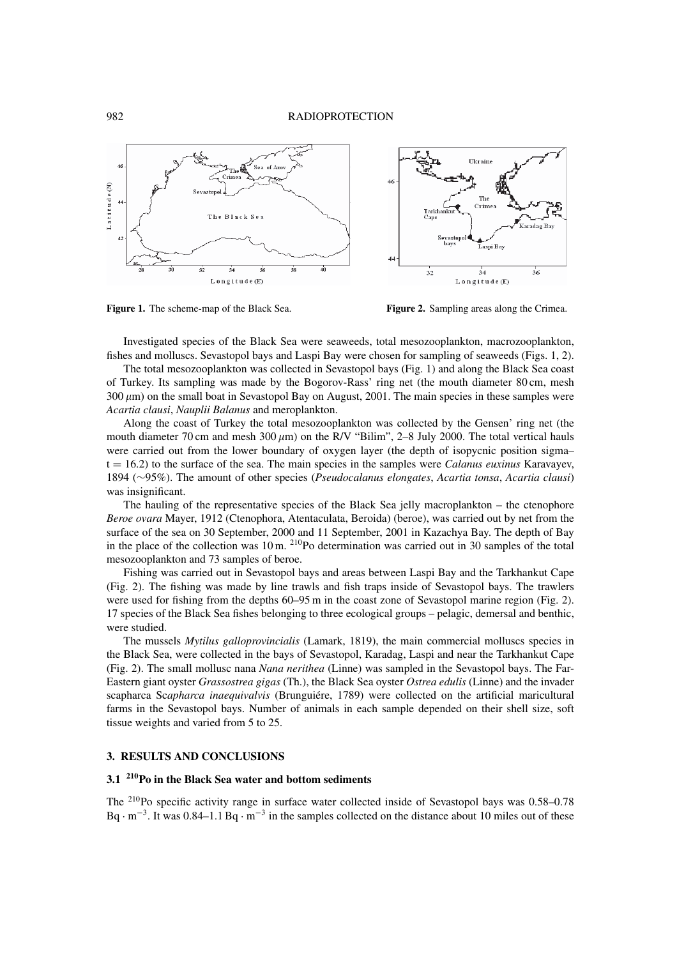

**Figure 1.** The scheme-map of the Black Sea. **Figure 2.** Sampling areas along the Crimea.

Investigated species of the Black Sea were seaweeds, total mesozooplankton, macrozooplankton, fishes and molluscs. Sevastopol bays and Laspi Bay were chosen for sampling of seaweeds (Figs. 1, 2).

The total mesozooplankton was collected in Sevastopol bays (Fig. 1) and along the Black Sea coast of Turkey. Its sampling was made by the Bogorov-Rass' ring net (the mouth diameter 80 cm, mesh  $300 \mu m$ ) on the small boat in Sevastopol Bay on August, 2001. The main species in these samples were *Acartia clausi*, *Nauplii Balanus* and meroplankton.

Along the coast of Turkey the total mesozooplankton was collected by the Gensen' ring net (the mouth diameter 70 cm and mesh  $300 \mu m$ ) on the R/V "Bilim", 2–8 July 2000. The total vertical hauls were carried out from the lower boundary of oxygen layer (the depth of isopycnic position sigma– t = 16.2) to the surface of the sea. The main species in the samples were *Calanus euxinus* Karavayev, 1894 (∼95%). The amount of other species (*Pseudocalanus elongates*, *Acartia tonsa*, *Acartia clausi*) was insignificant.

The hauling of the representative species of the Black Sea jelly macroplankton – the ctenophore *Beroe ovara* Mayer, 1912 (Ctenophora, Atentaculata, Beroida) (beroe), was carried out by net from the surface of the sea on 30 September, 2000 and 11 September, 2001 in Kazachya Bay. The depth of Bay in the place of the collection was  $10 \text{ m}$ . <sup>210</sup>Po determination was carried out in 30 samples of the total mesozooplankton and 73 samples of beroe.

Fishing was carried out in Sevastopol bays and areas between Laspi Bay and the Tarkhankut Cape (Fig. 2). The fishing was made by line trawls and fish traps inside of Sevastopol bays. The trawlers were used for fishing from the depths 60–95 m in the coast zone of Sevastopol marine region (Fig. 2). 17 species of the Black Sea fishes belonging to three ecological groups – pelagic, demersal and benthic, were studied.

The mussels *Mytilus galloprovincialis* (Lamark, 1819), the main commercial molluscs species in the Black Sea, were collected in the bays of Sevastopol, Karadag, Laspi and near the Tarkhankut Cape (Fig. 2). The small mollusc nana *Nana nerithea* (Linne) was sampled in the Sevastopol bays. The Far-Eastern giant oyster *Grassostrea gigas* (Th.), the Black Sea oyster *Ostrea edulis* (Linne) and the invader scapharca Sc*apharca inaequivalvis* (Brunguiére, 1789) were collected on the artificial maricultural farms in the Sevastopol bays. Number of animals in each sample depended on their shell size, soft tissue weights and varied from 5 to 25.

### **3. RESULTS AND CONCLUSIONS**

# **3.1 210Po in the Black Sea water and bottom sediments**

The 210Po specific activity range in surface water collected inside of Sevastopol bays was 0.58–0.78 Bq · <sup>m</sup>−3. It was 0.84–1.1 Bq · <sup>m</sup>−<sup>3</sup> in the samples collected on the distance about 10 miles out of these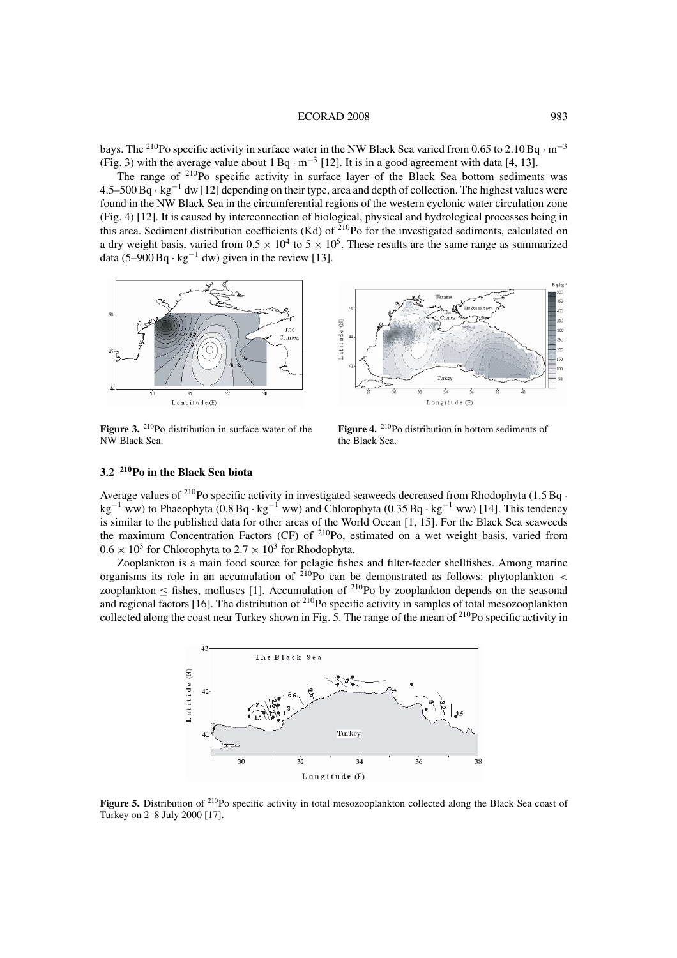#### ECORAD 2008 983

bays. The 210Po specific activity in surface water in the NW Black Sea varied from 0.65 to 2.10 Bq · <sup>m</sup>−<sup>3</sup> (Fig. 3) with the average value about  $1 \text{ Bq} \cdot \text{m}^{-3}$  [12]. It is in a good agreement with data [4, 13].

The range of  $2^{10}P^{\circ}$  specific activity in surface layer of the Black Sea bottom sediments was 4.5–500 Bq · kg−<sup>1</sup> dw [12] depending on their type, area and depth of collection. The highest values were found in the NW Black Sea in the circumferential regions of the western cyclonic water circulation zone (Fig. 4) [12]. It is caused by interconnection of biological, physical and hydrological processes being in this area. Sediment distribution coefficients (Kd) of  $^{210}$ Po for the investigated sediments, calculated on a dry weight basis, varied from  $0.5 \times 10^4$  to  $5 \times 10^5$ . These results are the same range as summarized data (5–900 Bq · kg<sup>-1</sup> dw) given in the review [13].



Figure 3. <sup>210</sup>Po distribution in surface water of the NW Black Sea.



Figure 4. <sup>210</sup>Po distribution in bottom sediments of the Black Sea.

# **3.2 210Po in the Black Sea biota**

Average values of <sup>210</sup>Po specific activity in investigated seaweeds decreased from Rhodophyta (1.5 Bq  $\cdot$ kg−<sup>1</sup> ww) to Phaeophyta (0.8 Bq · kg−<sup>1</sup> ww) and Chlorophyta (0.35 Bq · kg−<sup>1</sup> ww) [14]. This tendency is similar to the published data for other areas of the World Ocean [1, 15]. For the Black Sea seaweeds the maximum Concentration Factors (CF) of 210Po, estimated on a wet weight basis, varied from  $0.6 \times 10^3$  for Chlorophyta to  $2.7 \times 10^3$  for Rhodophyta.

Zooplankton is a main food source for pelagic fishes and filter-feeder shellfishes. Among marine organisms its role in an accumulation of  $2^{10}P_0$  can be demonstrated as follows: phytoplankton < zooplankton < fishes, molluscs [1]. Accumulation of  $^{210}$ Po by zooplankton depends on the seasonal and regional factors [16]. The distribution of  $^{210}$ Po specific activity in samples of total mesozooplankton collected along the coast near Turkey shown in Fig. 5. The range of the mean of <sup>210</sup>Po specific activity in



**Figure 5.** Distribution of <sup>210</sup>Po specific activity in total mesozooplankton collected along the Black Sea coast of Turkey on 2–8 July 2000 [17].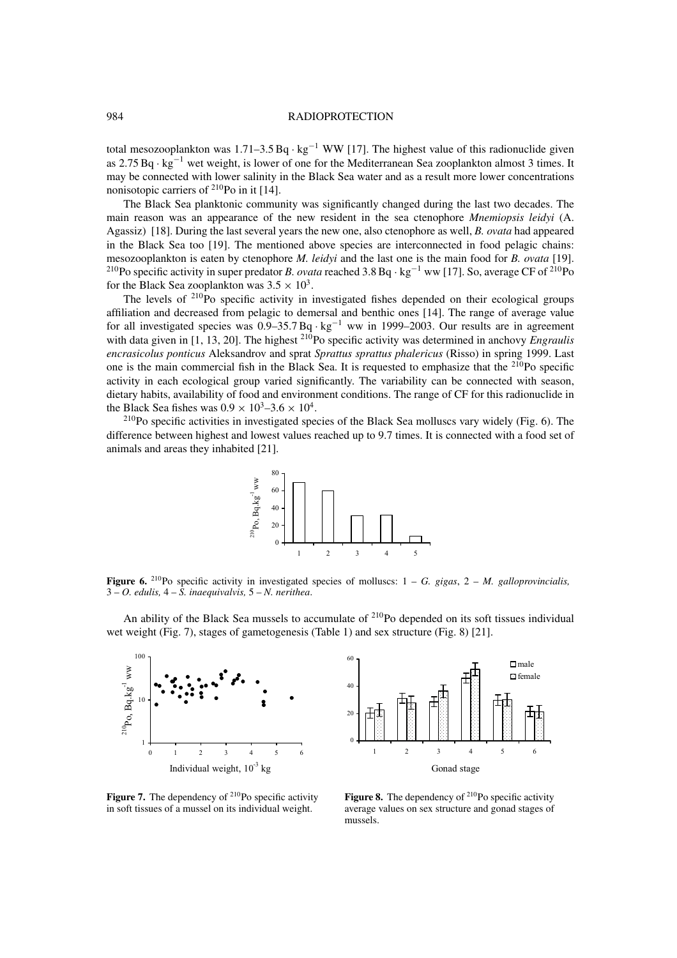### 984 RADIOPROTECTION

total mesozooplankton was  $1.71-3.5$  Bq · kg<sup>-1</sup> WW [17]. The highest value of this radionuclide given as 2.75 Bq · kg−<sup>1</sup> wet weight, is lower of one for the Mediterranean Sea zooplankton almost 3 times. It may be connected with lower salinity in the Black Sea water and as a result more lower concentrations nonisotopic carriers of  $^{210}$ Po in it [14].

The Black Sea planktonic community was significantly changed during the last two decades. The main reason was an appearance of the new resident in the sea ctenophore *Mnemiopsis leidyi* (A. Agassiz) [18]. During the last several years the new one, also ctenophore as well, *B. ovata* had appeared in the Black Sea too [19]. The mentioned above species are interconnected in food pelagic chains: mesozooplankton is eaten by ctenophore *M. leidyi* and the last one is the main food for *B. ovata* [19]. <sup>210</sup>Po specific activity in super predator *B. ovata* reached 3.8 Bq · kg<sup>-1</sup> ww [17]. So, average CF of <sup>210</sup>Po for the Black Sea zooplankton was  $3.5 \times 10^3$ .

The levels of  $2^{10}$ Po specific activity in investigated fishes depended on their ecological groups affiliation and decreased from pelagic to demersal and benthic ones [14]. The range of average value for all investigated species was  $0.9-35.7 \text{ Bg} \cdot \text{kg}^{-1}$  ww in 1999–2003. Our results are in agreement with data given in [1, 13, 20]. The highest <sup>210</sup>Po specific activity was determined in anchovy *Engraulis encrasicolus ponticus* Aleksandrov and sprat *Sprattus sprattus phalericus* (Risso) in spring 1999. Last one is the main commercial fish in the Black Sea. It is requested to emphasize that the <sup>210</sup>Po specific activity in each ecological group varied significantly. The variability can be connected with season, dietary habits, availability of food and environment conditions. The range of CF for this radionuclide in the Black Sea fishes was  $0.9 \times 10^3 - 3.6 \times 10^4$ .<br><sup>210</sup>Po specific activities in investigated species of the Black Sea molluscs vary widely (Fig. 6). The

difference between highest and lowest values reached up to 9.7 times. It is connected with a food set of animals and areas they inhabited [21].



**Figure 6.** 210Po specific activity in investigated species of molluscs: 1 – *G. gigas*,2– *M. galloprovincialis,* 3 – *O. edulis,* 4 – *S. inaequivalvis,* 5 – *N. nerithea*.

An ability of the Black Sea mussels to accumulate of <sup>210</sup>Po depended on its soft tissues individual wet weight (Fig. 7), stages of gametogenesis (Table 1) and sex structure (Fig. 8) [21].





**Figure 7.** The dependency of  $2^{10}$ Po specific activity in soft tissues of a mussel on its individual weight.

**Figure 8.** The dependency of  $2^{10}$ Po specific activity average values on sex structure and gonad stages of mussels.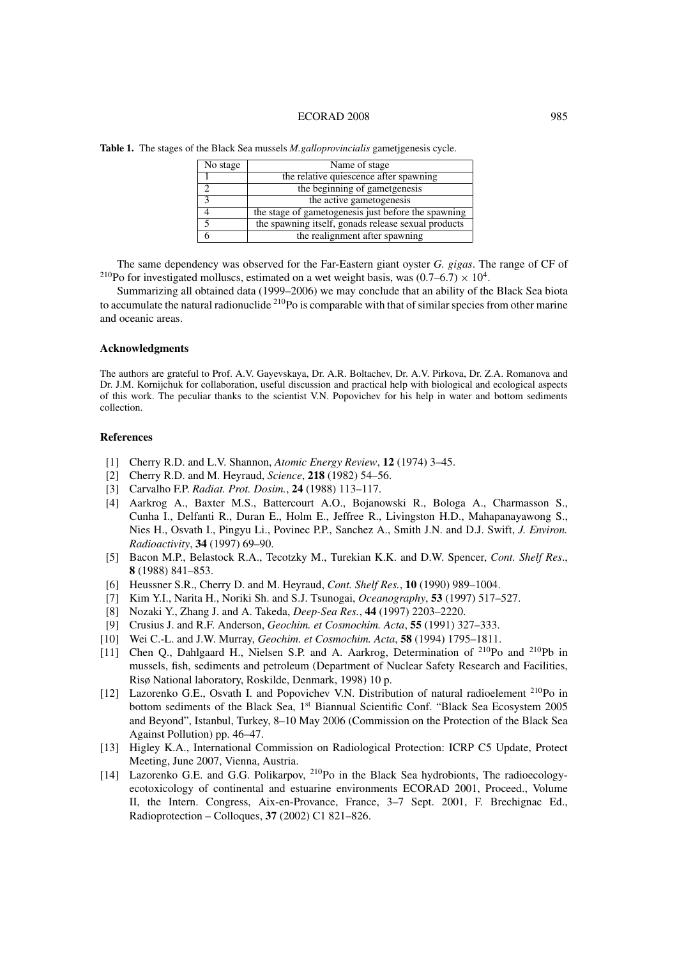### ECORAD 2008 985

| No stage | Name of stage                                       |
|----------|-----------------------------------------------------|
|          | the relative quiescence after spawning              |
|          | the beginning of gametgenesis                       |
|          | the active gametogenesis                            |
|          | the stage of gametogenesis just before the spawning |
|          | the spawning itself, gonads release sexual products |
|          | the realignment after spawning                      |

**Table 1.** The stages of the Black Sea mussels *M.galloprovincialis* gametjgenesis cycle.

The same dependency was observed for the Far-Eastern giant oyster *G. gigas*. The range of CF of <sup>210</sup>Po for investigated molluscs, estimated on a wet weight basis, was  $(0.7–6.7) \times 10^4$ .

Summarizing all obtained data (1999–2006) we may conclude that an ability of the Black Sea biota to accumulate the natural radionuclide <sup>210</sup>Po is comparable with that of similar species from other marine and oceanic areas.

### **Acknowledgments**

The authors are grateful to Prof. A.V. Gayevskaya, Dr. A.R. Boltachev, Dr. A.V. Pirkova, Dr. Z.A. Romanova and Dr. J.M. Kornijchuk for collaboration, useful discussion and practical help with biological and ecological aspects of this work. The peculiar thanks to the scientist V.N. Popovichev for his help in water and bottom sediments collection.

### **References**

- [1] Cherry R.D. and L.V. Shannon, *Atomic Energy Review*, **12** (1974) 3–45.
- [2] Cherry R.D. and M. Heyraud, *Science*, **218** (1982) 54–56.
- [3] Carvalho F.P. *Radiat. Prot. Dosim.*, **24** (1988) 113–117.
- [4] Aarkrog A., Baxter M.S., Battercourt A.O., Bojanowski R., Bologa A., Charmasson S., Cunha I., Delfanti R., Duran E., Holm E., Jeffree R., Livingston H.D., Mahapanayawong S., Nies H., Osvath I., Pingyu Li., Povinec P.P., Sanchez A., Smith J.N. and D.J. Swift, *J. Environ. Radioactivity*, **34** (1997) 69–90.
- [5] Bacon M.P., Belastock R.A., Tecotzky M., Turekian K.K. and D.W. Spencer, *Cont. Shelf Res*., **8** (1988) 841–853.
- [6] Heussner S.R., Cherry D. and M. Heyraud, *Cont. Shelf Res.*, **10** (1990) 989–1004.
- [7] Kim Y.I., Narita H., Noriki Sh. and S.J. Tsunogai, *Oceanography*, **53** (1997) 517–527.
- [8] Nozaki Y., Zhang J. and A. Takeda, *Deep-Sea Res.*, **44** (1997) 2203–2220.
- [9] Crusius J. and R.F. Anderson, *Geochim. et Cosmochim. Acta*, **55** (1991) 327–333.
- [10] Wei C.-L. and J.W. Murray, *Geochim. et Cosmochim. Acta*, **58** (1994) 1795–1811.
- [11] Chen Q., Dahlgaard H., Nielsen S.P. and A. Aarkrog, Determination of <sup>210</sup>Po and <sup>210</sup>Pb in mussels, fish, sediments and petroleum (Department of Nuclear Safety Research and Facilities, Risø National laboratory, Roskilde, Denmark, 1998) 10 p.
- [12] Lazorenko G.E., Osvath I. and Popovichev V.N. Distribution of natural radioelement <sup>210</sup>Po in bottom sediments of the Black Sea, 1<sup>st</sup> Biannual Scientific Conf. "Black Sea Ecosystem 2005 and Beyond", Istanbul, Turkey, 8–10 May 2006 (Commission on the Protection of the Black Sea Against Pollution) pp. 46–47.
- [13] Higley K.A., International Commission on Radiological Protection: ICRP C5 Update, Protect Meeting, June 2007, Vienna, Austria.
- [14] Lazorenko G.E. and G.G. Polikarpov, <sup>210</sup>Po in the Black Sea hydrobionts, The radioecologyecotoxicology of continental and estuarine environments ECORAD 2001, Proceed., Volume II, the Intern. Congress, Aix-en-Provance, France, 3–7 Sept. 2001, F. Brechignac Ed., Radioprotection – Colloques, **37** (2002) C1 821–826.